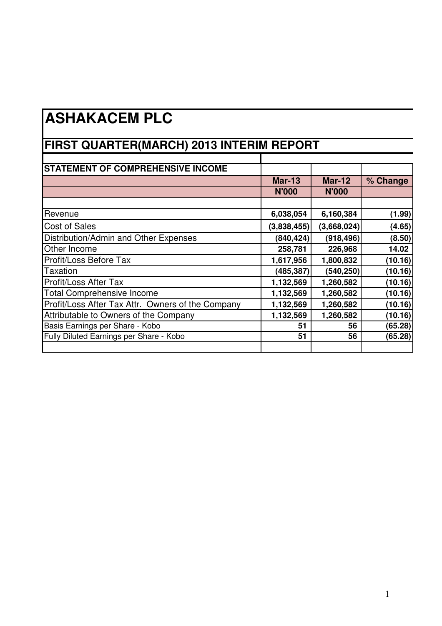## **ASHAKACEM PLC**

## **FIRST QUARTER(MARCH) 2013 INTERIM REPORT**

| <b>STATEMENT OF COMPREHENSIVE INCOME</b>          |               |               |          |
|---------------------------------------------------|---------------|---------------|----------|
|                                                   | <b>Mar-13</b> | <b>Mar-12</b> | % Change |
|                                                   | <b>N'000</b>  | <b>N'000</b>  |          |
|                                                   |               |               |          |
| Revenue                                           | 6,038,054     | 6,160,384     | (1.99)   |
| <b>Cost of Sales</b>                              | (3,838,455)   | (3,668,024)   | (4.65)   |
| Distribution/Admin and Other Expenses             | (840, 424)    | (918, 496)    | (8.50)   |
| Other Income                                      | 258,781       | 226,968       | 14.02    |
| Profit/Loss Before Tax                            | 1,617,956     | 1,800,832     | (10.16)  |
| <b>Taxation</b>                                   | (485, 387)    | (540, 250)    | (10.16)  |
| Profit/Loss After Tax                             | 1,132,569     | 1,260,582     | (10.16)  |
| <b>Total Comprehensive Income</b>                 | 1,132,569     | 1,260,582     | (10.16)  |
| Profit/Loss After Tax Attr. Owners of the Company | 1,132,569     | 1,260,582     | (10.16)  |
| Attributable to Owners of the Company             | 1,132,569     | 1,260,582     | (10.16)  |
| Basis Earnings per Share - Kobo                   | 51            | 56            | (65.28)  |
| Fully Diluted Earnings per Share - Kobo           | 51            | 56            | (65.28)  |
|                                                   |               |               |          |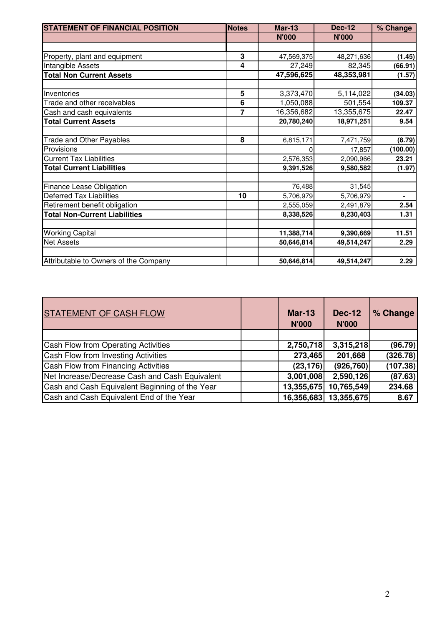| <b>STATEMENT OF FINANCIAL POSITION</b> | <b>Notes</b> | <b>Mar-13</b> | <b>Dec-12</b> | % Change |
|----------------------------------------|--------------|---------------|---------------|----------|
|                                        |              | <b>N'000</b>  | <b>N'000</b>  |          |
|                                        |              |               |               |          |
| Property, plant and equipment          | 3            | 47,569,375    | 48,271,636    | (1.45)   |
| Intangible Assets                      | 4            | 27,249        | 82,345        | (66.91)  |
| <b>Total Non Current Assets</b>        |              | 47,596,625    | 48,353,981    | (1.57)   |
|                                        |              |               |               |          |
| Inventories                            | 5            | 3,373,470     | 5,114,022     | (34.03)  |
| Trade and other receivables            | 6            | 1,050,088     | 501,554       | 109.37   |
| Cash and cash equivalents              | 7            | 16,356,682    | 13,355,675    | 22.47    |
| <b>Total Current Assets</b>            |              | 20,780,240    | 18,971,251    | 9.54     |
| Trade and Other Payables               | 8            | 6,815,171     | 7,471,759     | (8.79)   |
| Provisions                             |              |               | 17,857        | (100.00) |
| <b>Current Tax Liabilities</b>         |              | 2,576,353     | 2,090,966     | 23.21    |
| <b>Total Current Liabilities</b>       |              | 9,391,526     | 9,580,582     | (1.97)   |
| Finance Lease Obligation               |              | 76,488        | 31,545        |          |
| <b>Deferred Tax Liabilities</b>        | 10           | 5,706,979     | 5,706,979     |          |
| Retirement benefit obligation          |              | 2,555,059     | 2,491,879     | 2.54     |
| <b>Total Non-Current Liabilities</b>   |              | 8,338,526     | 8,230,403     | 1.31     |
|                                        |              |               |               |          |
| <b>Working Capital</b>                 |              | 11,388,714    | 9,390,669     | 11.51    |
| <b>Net Assets</b>                      |              | 50,646,814    | 49,514,247    | 2.29     |
| Attributable to Owners of the Company  |              | 50,646,814    | 49,514,247    | 2.29     |
|                                        |              |               |               |          |

| <b>STATEMENT OF CASH FLOW</b>                  | <b>Mar-13</b> | <b>Dec-12</b>         | % Change |
|------------------------------------------------|---------------|-----------------------|----------|
|                                                | <b>N'000</b>  | <b>N'000</b>          |          |
|                                                |               |                       |          |
| Cash Flow from Operating Activities            | 2,750,718     | 3,315,218             | (96.79)  |
| Cash Flow from Investing Activities            | 273,465       | 201,668               | (326.78) |
| Cash Flow from Financing Activities            | (23, 176)     | (926, 760)            | (107.38) |
| Net Increase/Decrease Cash and Cash Equivalent | 3,001,008     | 2,590,126             | (87.63)  |
| Cash and Cash Equivalent Beginning of the Year | 13,355,675    | 10,765,549            | 234.68   |
| Cash and Cash Equivalent End of the Year       |               | 16,356,683 13,355,675 | 8.67     |